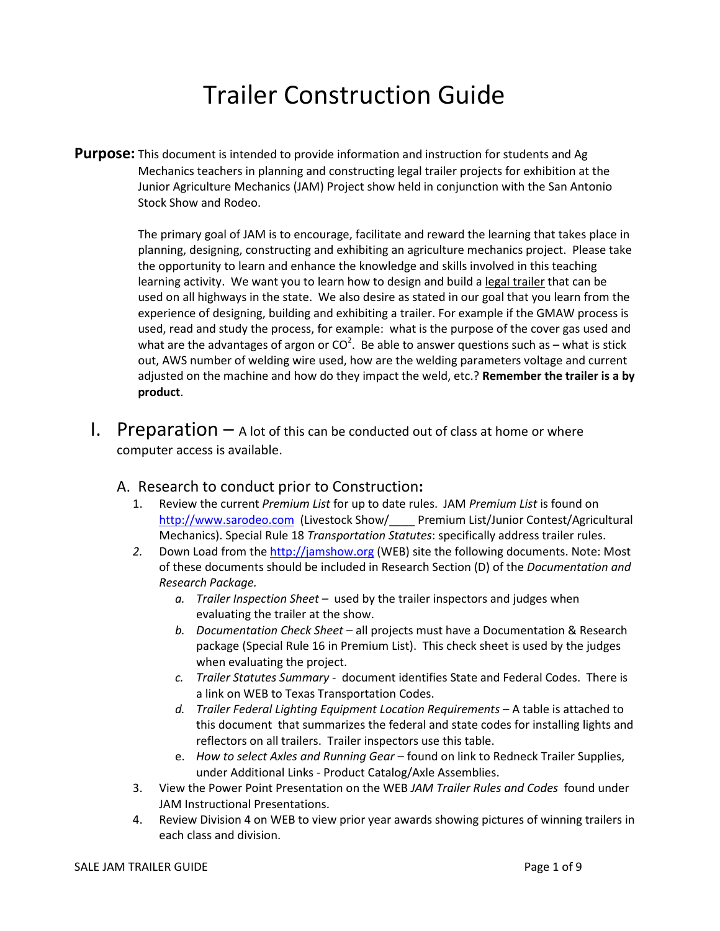# Trailer Construction Guide

**Purpose:** This document is intended to provide information and instruction for students and Ag Mechanics teachers in planning and constructing legal trailer projects for exhibition at the Junior Agriculture Mechanics (JAM) Project show held in conjunction with the San Antonio Stock Show and Rodeo.

> The primary goal of JAM is to encourage, facilitate and reward the learning that takes place in planning, designing, constructing and exhibiting an agriculture mechanics project. Please take the opportunity to learn and enhance the knowledge and skills involved in this teaching learning activity. We want you to learn how to design and build a legal trailer that can be used on all highways in the state. We also desire as stated in our goal that you learn from the experience of designing, building and exhibiting a trailer. For example if the GMAW process is used, read and study the process, for example: what is the purpose of the cover gas used and what are the advantages of argon or CO<sup>2</sup>. Be able to answer questions such as – what is stick out, AWS number of welding wire used, how are the welding parameters voltage and current adjusted on the machine and how do they impact the weld, etc.? Remember the trailer is a by product.

- **I.** Preparation  $-$  A lot of this can be conducted out of class at home or where computer access is available.
	- A. Research to conduct prior to Construction:
		- 1. Review the current Premium List for up to date rules. JAM Premium List is found on http://www.sarodeo.com (Livestock Show/\_\_\_\_ Premium List/Junior Contest/Agricultural Mechanics). Special Rule 18 Transportation Statutes: specifically address trailer rules.
		- 2. Down Load from the http://jamshow.org (WEB) site the following documents. Note: Most of these documents should be included in Research Section (D) of the Documentation and Research Package.
			- $a.$  Trailer Inspection Sheet used by the trailer inspectors and judges when evaluating the trailer at the show.
			- b. Documentation Check Sheet all projects must have a Documentation & Research package (Special Rule 16 in Premium List). This check sheet is used by the judges when evaluating the project.
			- c. Trailer Statutes Summary document identifies State and Federal Codes. There is a link on WEB to Texas Transportation Codes.
			- d. Trailer Federal Lighting Equipment Location Requirements A table is attached to this document that summarizes the federal and state codes for installing lights and reflectors on all trailers. Trailer inspectors use this table.
			- e. How to select Axles and Running Gear found on link to Redneck Trailer Supplies, under Additional Links - Product Catalog/Axle Assemblies.
		- 3. View the Power Point Presentation on the WEB JAM Trailer Rules and Codes found under JAM Instructional Presentations.
		- 4. Review Division 4 on WEB to view prior year awards showing pictures of winning trailers in each class and division.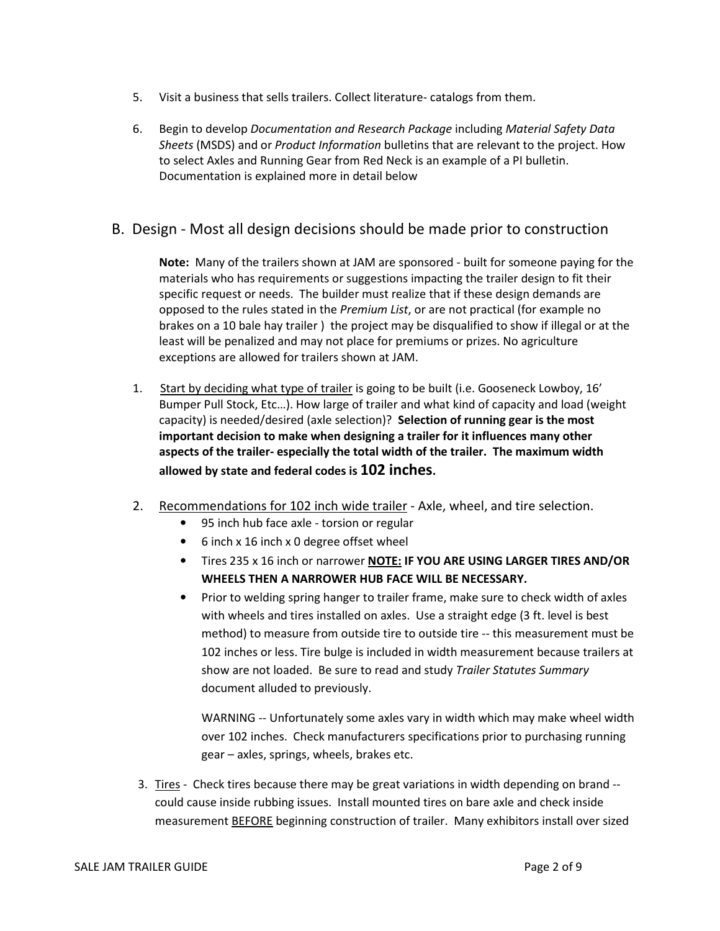- 5. Visit a business that sells trailers. Collect literature- catalogs from them.
- 6. Begin to develop Documentation and Research Package including Material Safety Data Sheets (MSDS) and or Product Information bulletins that are relevant to the project. How to select Axles and Running Gear from Red Neck is an example of a PI bulletin. Documentation is explained more in detail below

### B. Design - Most all design decisions should be made prior to construction

Note: Many of the trailers shown at JAM are sponsored - built for someone paying for the materials who has requirements or suggestions impacting the trailer design to fit their specific request or needs. The builder must realize that if these design demands are opposed to the rules stated in the Premium List, or are not practical (for example no brakes on a 10 bale hay trailer ) the project may be disqualified to show if illegal or at the least will be penalized and may not place for premiums or prizes. No agriculture exceptions are allowed for trailers shown at JAM.

- 1. Start by deciding what type of trailer is going to be built (i.e. Gooseneck Lowboy, 16' Bumper Pull Stock, Etc…). How large of trailer and what kind of capacity and load (weight capacity) is needed/desired (axle selection)? Selection of running gear is the most important decision to make when designing a trailer for it influences many other aspects of the trailer- especially the total width of the trailer. The maximum width allowed by state and federal codes is 102 inches.
- 2. Recommendations for 102 inch wide trailer Axle, wheel, and tire selection.
	- 95 inch hub face axle torsion or regular
	- 6 inch x 16 inch x 0 degree offset wheel
	- Tires 235 x 16 inch or narrower NOTE: IF YOU ARE USING LARGER TIRES AND/OR WHEELS THEN A NARROWER HUB FACE WILL BE NECESSARY.
	- Prior to welding spring hanger to trailer frame, make sure to check width of axles with wheels and tires installed on axles. Use a straight edge (3 ft. level is best method) to measure from outside tire to outside tire -- this measurement must be 102 inches or less. Tire bulge is included in width measurement because trailers at show are not loaded. Be sure to read and study Trailer Statutes Summary document alluded to previously.

WARNING -- Unfortunately some axles vary in width which may make wheel width over 102 inches. Check manufacturers specifications prior to purchasing running gear – axles, springs, wheels, brakes etc.

3. Tires - Check tires because there may be great variations in width depending on brand - could cause inside rubbing issues. Install mounted tires on bare axle and check inside measurement BEFORE beginning construction of trailer. Many exhibitors install over sized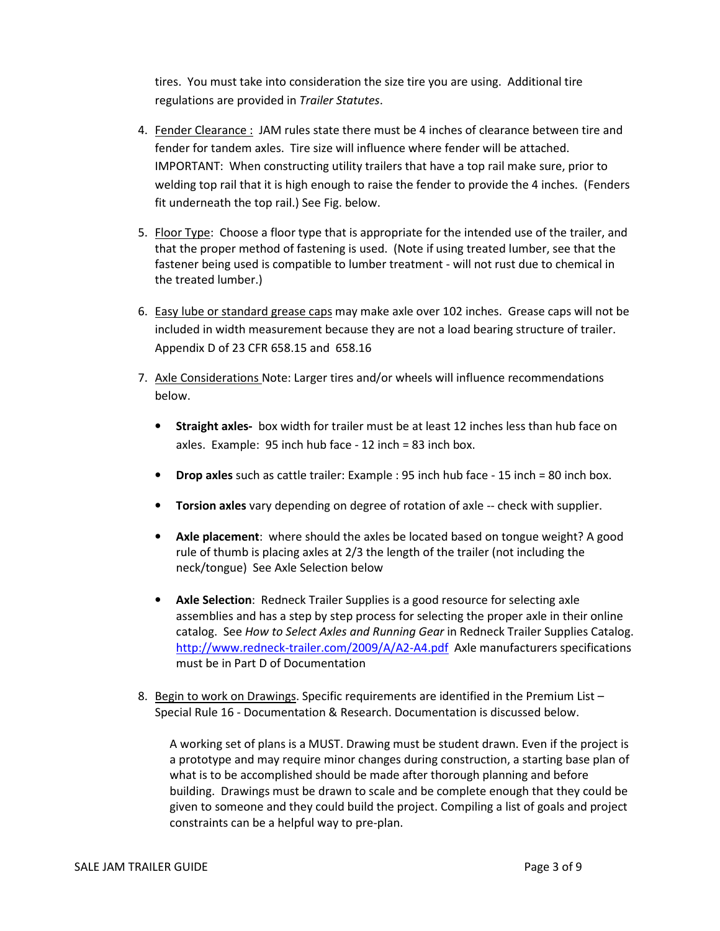tires. You must take into consideration the size tire you are using. Additional tire regulations are provided in Trailer Statutes.

- 4. Fender Clearance : JAM rules state there must be 4 inches of clearance between tire and fender for tandem axles. Tire size will influence where fender will be attached. IMPORTANT: When constructing utility trailers that have a top rail make sure, prior to welding top rail that it is high enough to raise the fender to provide the 4 inches. (Fenders fit underneath the top rail.) See Fig. below.
- 5. Floor Type: Choose a floor type that is appropriate for the intended use of the trailer, and that the proper method of fastening is used. (Note if using treated lumber, see that the fastener being used is compatible to lumber treatment - will not rust due to chemical in the treated lumber.)
- 6. Easy lube or standard grease caps may make axle over 102 inches. Grease caps will not be included in width measurement because they are not a load bearing structure of trailer. Appendix D of 23 CFR 658.15 and 658.16
- 7. Axle Considerations Note: Larger tires and/or wheels will influence recommendations below.
	- Straight axles- box width for trailer must be at least 12 inches less than hub face on axles. Example: 95 inch hub face - 12 inch = 83 inch box.
	- Drop axles such as cattle trailer: Example : 95 inch hub face 15 inch = 80 inch box.
	- Torsion axles vary depending on degree of rotation of axle -- check with supplier.
	- Axle placement: where should the axles be located based on tongue weight? A good rule of thumb is placing axles at 2/3 the length of the trailer (not including the neck/tongue) See Axle Selection below
	- Axle Selection: Redneck Trailer Supplies is a good resource for selecting axle assemblies and has a step by step process for selecting the proper axle in their online catalog. See How to Select Axles and Running Gear in Redneck Trailer Supplies Catalog. http://www.redneck-trailer.com/2009/A/A2-A4.pdf Axle manufacturers specifications must be in Part D of Documentation
- 8. Begin to work on Drawings. Specific requirements are identified in the Premium List -Special Rule 16 - Documentation & Research. Documentation is discussed below.

A working set of plans is a MUST. Drawing must be student drawn. Even if the project is a prototype and may require minor changes during construction, a starting base plan of what is to be accomplished should be made after thorough planning and before building. Drawings must be drawn to scale and be complete enough that they could be given to someone and they could build the project. Compiling a list of goals and project constraints can be a helpful way to pre-plan.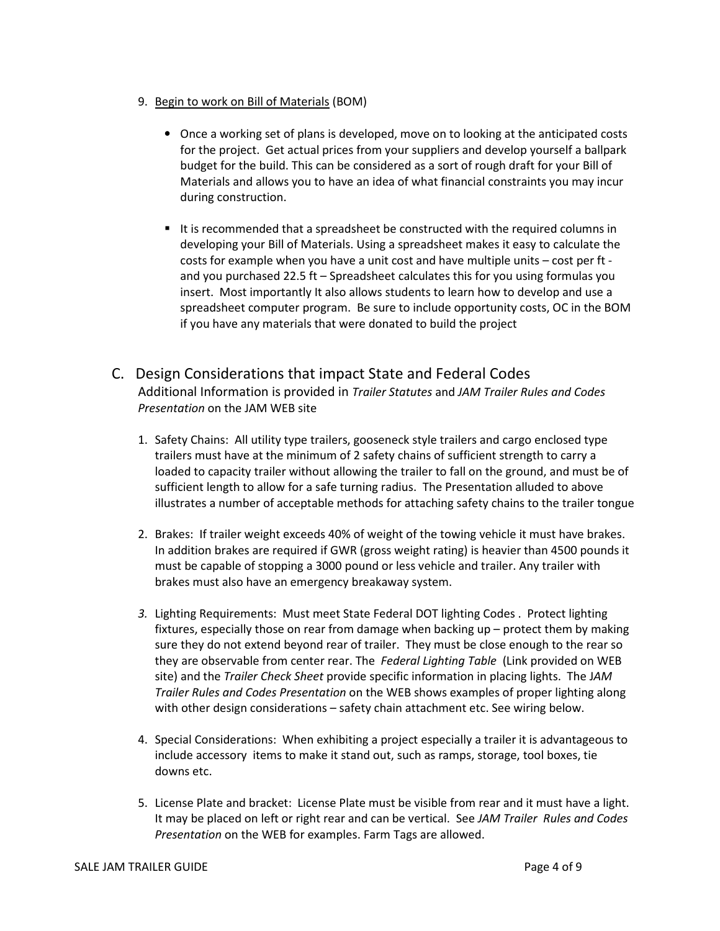- 9. Begin to work on Bill of Materials (BOM)
	- Once a working set of plans is developed, move on to looking at the anticipated costs for the project. Get actual prices from your suppliers and develop yourself a ballpark budget for the build. This can be considered as a sort of rough draft for your Bill of Materials and allows you to have an idea of what financial constraints you may incur during construction.
	- It is recommended that a spreadsheet be constructed with the required columns in developing your Bill of Materials. Using a spreadsheet makes it easy to calculate the costs for example when you have a unit cost and have multiple units – cost per ft and you purchased 22.5 ft – Spreadsheet calculates this for you using formulas you insert. Most importantly It also allows students to learn how to develop and use a spreadsheet computer program. Be sure to include opportunity costs, OC in the BOM if you have any materials that were donated to build the project
- C. Design Considerations that impact State and Federal Codes Additional Information is provided in Trailer Statutes and JAM Trailer Rules and Codes Presentation on the JAM WEB site
	- 1. Safety Chains: All utility type trailers, gooseneck style trailers and cargo enclosed type trailers must have at the minimum of 2 safety chains of sufficient strength to carry a loaded to capacity trailer without allowing the trailer to fall on the ground, and must be of sufficient length to allow for a safe turning radius. The Presentation alluded to above illustrates a number of acceptable methods for attaching safety chains to the trailer tongue
	- 2. Brakes: If trailer weight exceeds 40% of weight of the towing vehicle it must have brakes. In addition brakes are required if GWR (gross weight rating) is heavier than 4500 pounds it must be capable of stopping a 3000 pound or less vehicle and trailer. Any trailer with brakes must also have an emergency breakaway system.
	- 3. Lighting Requirements: Must meet State Federal DOT lighting Codes . Protect lighting fixtures, especially those on rear from damage when backing up – protect them by making sure they do not extend beyond rear of trailer. They must be close enough to the rear so they are observable from center rear. The Federal Lighting Table (Link provided on WEB site) and the Trailer Check Sheet provide specific information in placing lights. The JAM Trailer Rules and Codes Presentation on the WEB shows examples of proper lighting along with other design considerations – safety chain attachment etc. See wiring below.
	- 4. Special Considerations: When exhibiting a project especially a trailer it is advantageous to include accessory items to make it stand out, such as ramps, storage, tool boxes, tie downs etc.
	- 5. License Plate and bracket: License Plate must be visible from rear and it must have a light. It may be placed on left or right rear and can be vertical. See JAM Trailer Rules and Codes Presentation on the WEB for examples. Farm Tags are allowed.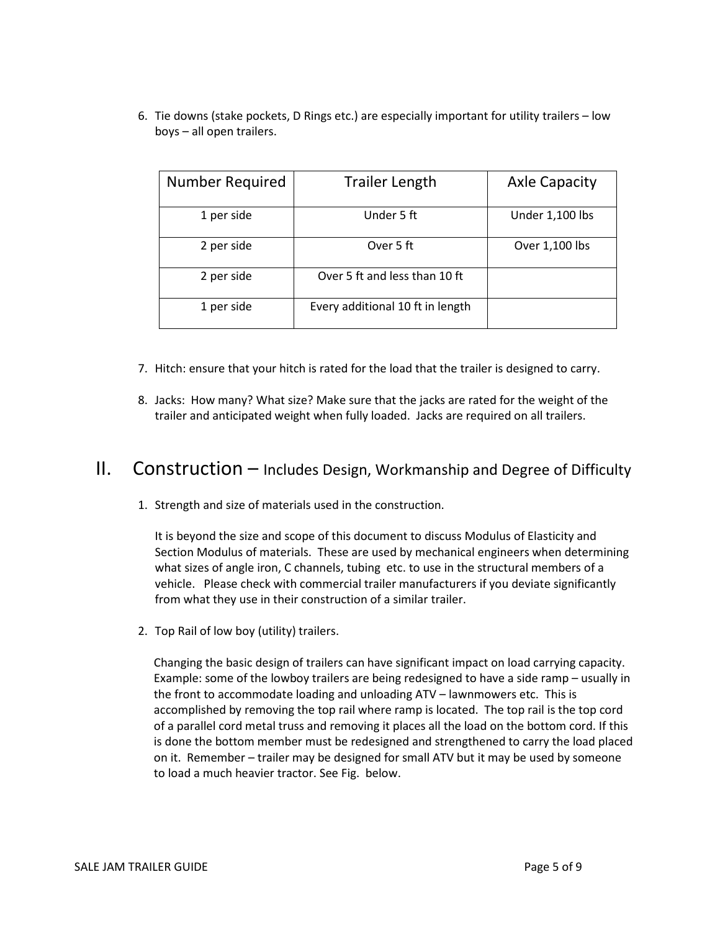6. Tie downs (stake pockets, D Rings etc.) are especially important for utility trailers – low boys – all open trailers.

| <b>Number Required</b> | <b>Trailer Length</b>            | <b>Axle Capacity</b> |
|------------------------|----------------------------------|----------------------|
| 1 per side             | Under 5 ft                       | Under 1,100 lbs      |
| 2 per side             | Over 5 ft                        | Over 1,100 lbs       |
| 2 per side             | Over 5 ft and less than 10 ft    |                      |
| 1 per side             | Every additional 10 ft in length |                      |

- 7. Hitch: ensure that your hitch is rated for the load that the trailer is designed to carry.
- 8. Jacks: How many? What size? Make sure that the jacks are rated for the weight of the trailer and anticipated weight when fully loaded. Jacks are required on all trailers.

### $II.$  Construction – Includes Design, Workmanship and Degree of Difficulty

1. Strength and size of materials used in the construction.

It is beyond the size and scope of this document to discuss Modulus of Elasticity and Section Modulus of materials. These are used by mechanical engineers when determining what sizes of angle iron, C channels, tubing etc. to use in the structural members of a vehicle. Please check with commercial trailer manufacturers if you deviate significantly from what they use in their construction of a similar trailer.

2. Top Rail of low boy (utility) trailers.

Changing the basic design of trailers can have significant impact on load carrying capacity. Example: some of the lowboy trailers are being redesigned to have a side ramp – usually in the front to accommodate loading and unloading ATV – lawnmowers etc. This is accomplished by removing the top rail where ramp is located. The top rail is the top cord of a parallel cord metal truss and removing it places all the load on the bottom cord. If this is done the bottom member must be redesigned and strengthened to carry the load placed on it. Remember – trailer may be designed for small ATV but it may be used by someone to load a much heavier tractor. See Fig. below.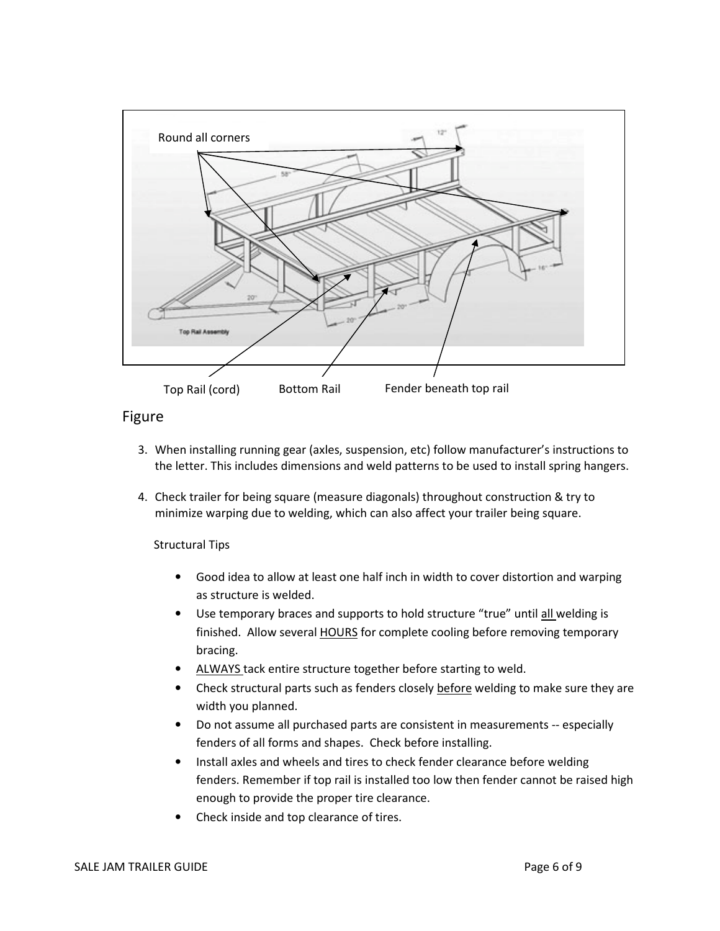

### Figure

- 3. When installing running gear (axles, suspension, etc) follow manufacturer's instructions to the letter. This includes dimensions and weld patterns to be used to install spring hangers.
- 4. Check trailer for being square (measure diagonals) throughout construction & try to minimize warping due to welding, which can also affect your trailer being square.

Structural Tips

- Good idea to allow at least one half inch in width to cover distortion and warping as structure is welded.
- Use temporary braces and supports to hold structure "true" until all welding is finished. Allow several **HOURS** for complete cooling before removing temporary bracing.
- ALWAYS tack entire structure together before starting to weld.
- Check structural parts such as fenders closely before welding to make sure they are width you planned.
- Do not assume all purchased parts are consistent in measurements -- especially fenders of all forms and shapes. Check before installing.
- Install axles and wheels and tires to check fender clearance before welding fenders. Remember if top rail is installed too low then fender cannot be raised high enough to provide the proper tire clearance.
- Check inside and top clearance of tires.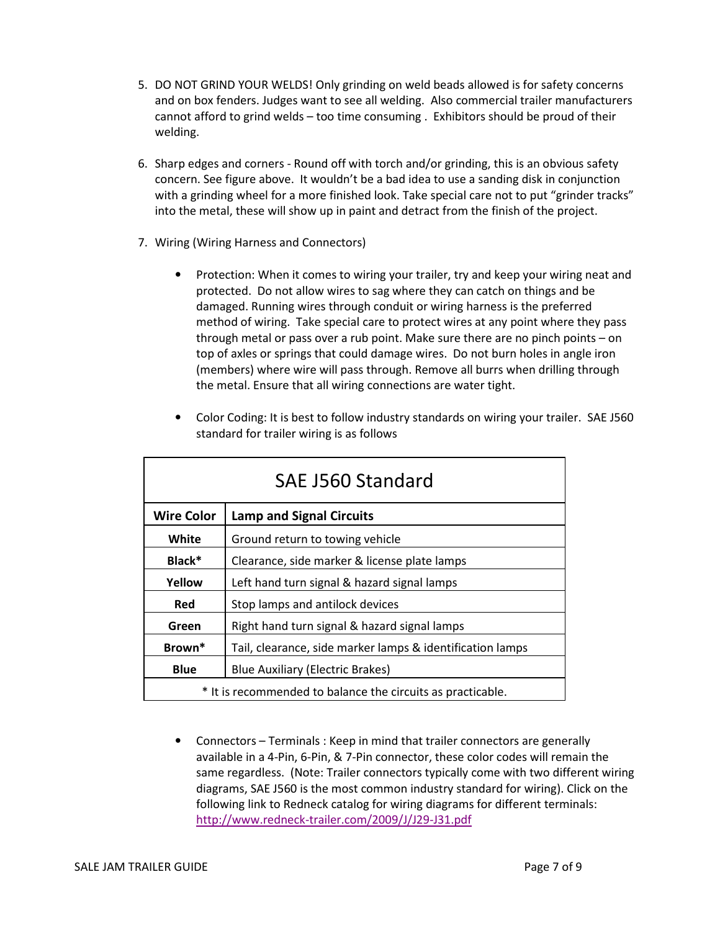- 5. DO NOT GRIND YOUR WELDS! Only grinding on weld beads allowed is for safety concerns and on box fenders. Judges want to see all welding. Also commercial trailer manufacturers cannot afford to grind welds – too time consuming . Exhibitors should be proud of their welding.
- 6. Sharp edges and corners Round off with torch and/or grinding, this is an obvious safety concern. See figure above. It wouldn't be a bad idea to use a sanding disk in conjunction with a grinding wheel for a more finished look. Take special care not to put "grinder tracks" into the metal, these will show up in paint and detract from the finish of the project.
- 7. Wiring (Wiring Harness and Connectors)
	- Protection: When it comes to wiring your trailer, try and keep your wiring neat and protected. Do not allow wires to sag where they can catch on things and be damaged. Running wires through conduit or wiring harness is the preferred method of wiring. Take special care to protect wires at any point where they pass through metal or pass over a rub point. Make sure there are no pinch points – on top of axles or springs that could damage wires. Do not burn holes in angle iron (members) where wire will pass through. Remove all burrs when drilling through the metal. Ensure that all wiring connections are water tight.

| <b>SAE J560 Standard</b>                                    |                                                           |  |
|-------------------------------------------------------------|-----------------------------------------------------------|--|
| <b>Wire Color</b>                                           | <b>Lamp and Signal Circuits</b>                           |  |
| White                                                       | Ground return to towing vehicle                           |  |
| Black*                                                      | Clearance, side marker & license plate lamps              |  |
| Yellow                                                      | Left hand turn signal & hazard signal lamps               |  |
| Red                                                         | Stop lamps and antilock devices                           |  |
| Green                                                       | Right hand turn signal & hazard signal lamps              |  |
| Brown*                                                      | Tail, clearance, side marker lamps & identification lamps |  |
| <b>Blue</b><br><b>Blue Auxiliary (Electric Brakes)</b>      |                                                           |  |
| * It is recommended to balance the circuits as practicable. |                                                           |  |

• Color Coding: It is best to follow industry standards on wiring your trailer. SAE J560 standard for trailer wiring is as follows

• Connectors – Terminals : Keep in mind that trailer connectors are generally available in a 4-Pin, 6-Pin, & 7-Pin connector, these color codes will remain the same regardless. (Note: Trailer connectors typically come with two different wiring diagrams, SAE J560 is the most common industry standard for wiring). Click on the following link to Redneck catalog for wiring diagrams for different terminals: http://www.redneck-trailer.com/2009/J/J29-J31.pdf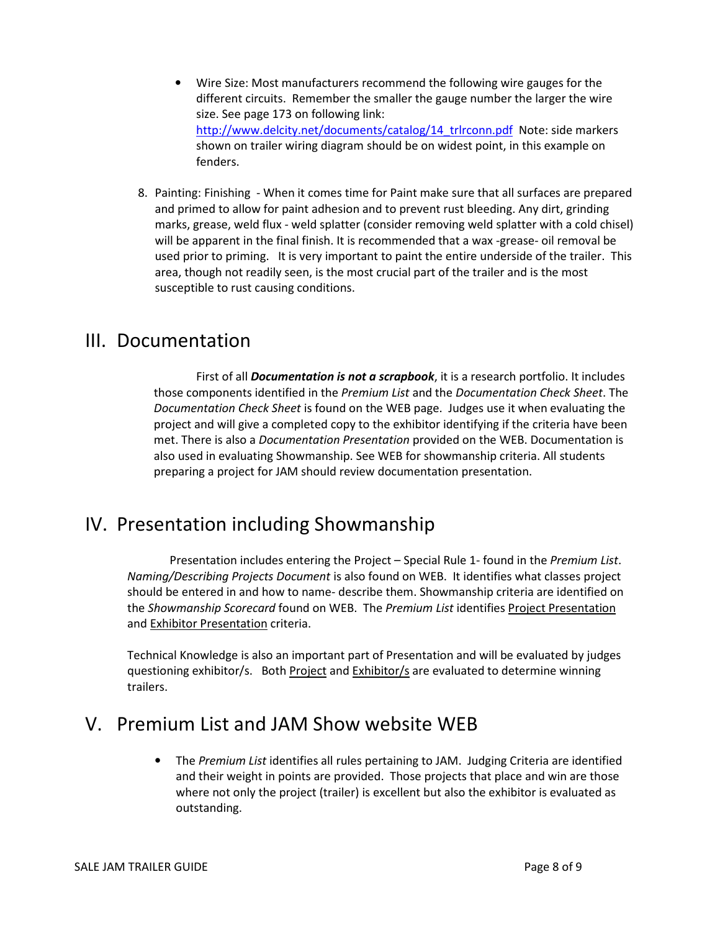- Wire Size: Most manufacturers recommend the following wire gauges for the different circuits. Remember the smaller the gauge number the larger the wire size. See page 173 on following link: http://www.delcity.net/documents/catalog/14\_trlrconn.pdf Note: side markers shown on trailer wiring diagram should be on widest point, in this example on fenders.
- 8. Painting: Finishing When it comes time for Paint make sure that all surfaces are prepared and primed to allow for paint adhesion and to prevent rust bleeding. Any dirt, grinding marks, grease, weld flux - weld splatter (consider removing weld splatter with a cold chisel) will be apparent in the final finish. It is recommended that a wax -grease- oil removal be used prior to priming. It is very important to paint the entire underside of the trailer. This area, though not readily seen, is the most crucial part of the trailer and is the most susceptible to rust causing conditions.

### III. Documentation

First of all **Documentation is not a scrapbook**, it is a research portfolio. It includes those components identified in the Premium List and the Documentation Check Sheet. The Documentation Check Sheet is found on the WEB page. Judges use it when evaluating the project and will give a completed copy to the exhibitor identifying if the criteria have been met. There is also a Documentation Presentation provided on the WEB. Documentation is also used in evaluating Showmanship. See WEB for showmanship criteria. All students preparing a project for JAM should review documentation presentation.

# IV. Presentation including Showmanship

Presentation includes entering the Project – Special Rule 1- found in the Premium List. Naming/Describing Projects Document is also found on WEB. It identifies what classes project should be entered in and how to name- describe them. Showmanship criteria are identified on the Showmanship Scorecard found on WEB. The Premium List identifies Project Presentation and Exhibitor Presentation criteria.

Technical Knowledge is also an important part of Presentation and will be evaluated by judges questioning exhibitor/s. Both Project and Exhibitor/s are evaluated to determine winning trailers.

# V. Premium List and JAM Show website WEB

• The Premium List identifies all rules pertaining to JAM. Judging Criteria are identified and their weight in points are provided. Those projects that place and win are those where not only the project (trailer) is excellent but also the exhibitor is evaluated as outstanding.